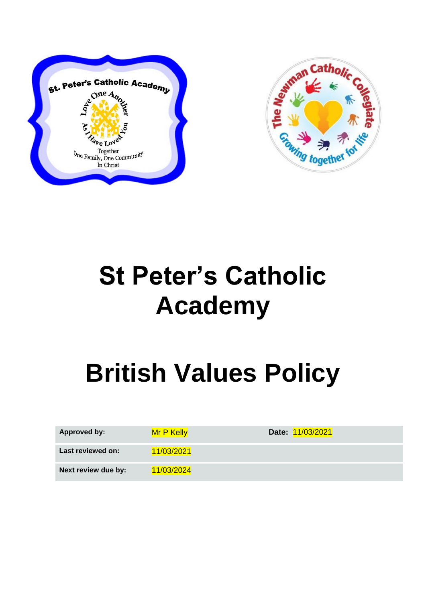



## **St Peter's Catholic Academy**

## **British Values Policy**

| <b>Approved by:</b> | Mr P Kelly | Date: 11/03/2021 |
|---------------------|------------|------------------|
| Last reviewed on:   | 11/03/2021 |                  |
| Next review due by: | 11/03/2024 |                  |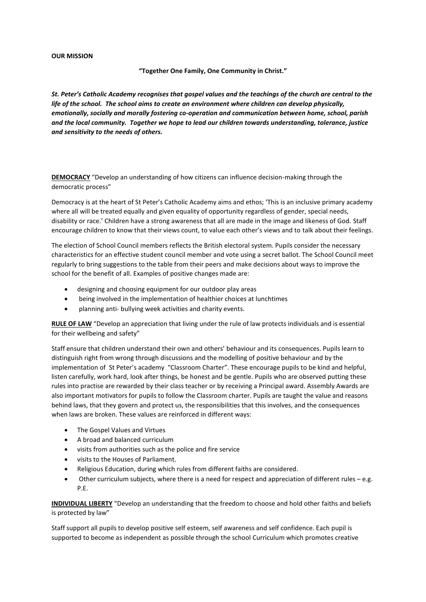## **OUR MISSION**

## **"Together One Family, One Community in Christ."**

*St. Peter's Catholic Academy recognises that gospel values and the teachings of the church are central to the life of the school. The school aims to create an environment where children can develop physically, emotionally, socially and morally fostering co-operation and communication between home, school, parish and the local community. Together we hope to lead our children towards understanding, tolerance, justice and sensitivity to the needs of others.*

**DEMOCRACY** "Develop an understanding of how citizens can influence decision-making through the democratic process"

Democracy is at the heart of St Peter's Catholic Academy aims and ethos; 'This is an inclusive primary academy where all will be treated equally and given equality of opportunity regardless of gender, special needs, disability or race.' Children have a strong awareness that all are made in the image and likeness of God. Staff encourage children to know that their views count, to value each other's views and to talk about their feelings.

The election of School Council members reflects the British electoral system. Pupils consider the necessary characteristics for an effective student council member and vote using a secret ballot. The School Council meet regularly to bring suggestions to the table from their peers and make decisions about ways to improve the school for the benefit of all. Examples of positive changes made are:

- designing and choosing equipment for our outdoor play areas
- being involved in the implementation of healthier choices at lunchtimes
- planning anti- bullying week activities and charity events.

**RULE OF LAW** "Develop an appreciation that living under the rule of law protects individuals and is essential for their wellbeing and safety"

Staff ensure that children understand their own and others' behaviour and its consequences. Pupils learn to distinguish right from wrong through discussions and the modelling of positive behaviour and by the implementation of St Peter's academy "Classroom Charter". These encourage pupils to be kind and helpful, listen carefully, work hard, look after things, be honest and be gentle. Pupils who are observed putting these rules into practise are rewarded by their class teacher or by receiving a Principal award. Assembly Awards are also important motivators for pupils to follow the Classroom charter. Pupils are taught the value and reasons behind laws, that they govern and protect us, the responsibilities that this involves, and the consequences when laws are broken. These values are reinforced in different ways:

- The Gospel Values and Virtues
- A broad and balanced curriculum
- visits from authorities such as the police and fire service
- visits to the Houses of Parliament.
- Religious Education, during which rules from different faiths are considered.
- Other curriculum subjects, where there is a need for respect and appreciation of different rules e.g. P.E.

**INDIVIDUAL LIBERTY** "Develop an understanding that the freedom to choose and hold other faiths and beliefs is protected by law"

Staff support all pupils to develop positive self esteem, self awareness and self confidence. Each pupil is supported to become as independent as possible through the school Curriculum which promotes creative